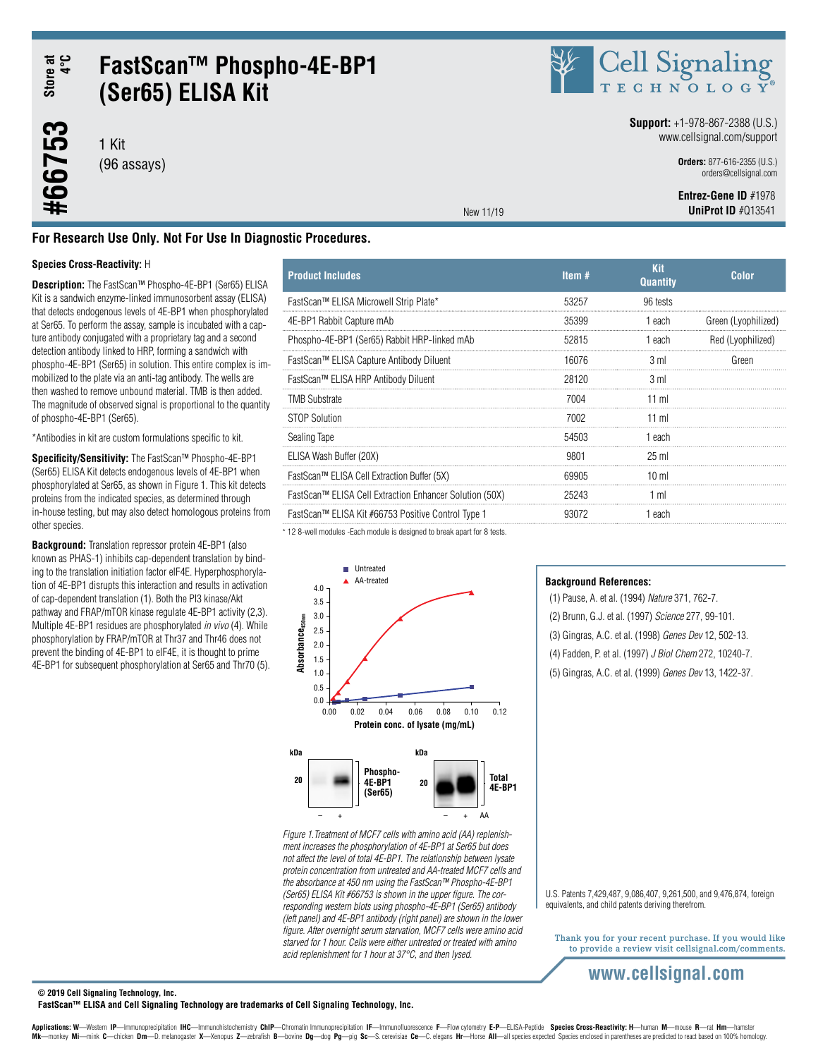Store at<br>4°C **#66753 Store at 4°C**

#66753

# **FastScan™ Phospho-4E-BP1 (Ser65) ELISA Kit**

1 Kit (96 assays)



#### **Support:** +1-978-867-2388 (U.S.) www.cellsignal.com/support

**Orders:** 877-616-2355 (U.S.) orders@cellsignal.com

 **Entrez-Gene ID** #1978**UniProt ID** #Q13541

New 11/19

### **For Research Use Only. Not For Use In Diagnostic Procedures.**

#### **Species Cross-Reactivity:** H

**Description:** The FastScan™ Phospho-4E-BP1 (Ser65) ELISA Kit is a sandwich enzyme-linked immunosorbent assay (ELISA) that detects endogenous levels of 4E-BP1 when phosphorylated at Ser65. To perform the assay, sample is incubated with a capture antibody conjugated with a proprietary tag and a second detection antibody linked to HRP, forming a sandwich with phospho-4E-BP1 (Ser65) in solution. This entire complex is immobilized to the plate via an anti-tag antibody. The wells are then washed to remove unbound material. TMB is then added. The magnitude of observed signal is proportional to the quantity of phospho-4E-BP1 (Ser65).

\*Antibodies in kit are custom formulations specific to kit.

**Specificity/Sensitivity:** The FastScan™ Phospho-4E-BP1 (Ser65) ELISA Kit detects endogenous levels of 4E-BP1 when phosphorylated at Ser65, as shown in Figure 1. This kit detects proteins from the indicated species, as determined through in-house testing, but may also detect homologous proteins from other species.

**Background:** Translation repressor protein 4E-BP1 (also known as PHAS-1) inhibits cap-dependent translation by binding to the translation initiation factor eIF4E. Hyperphosphorylation of 4E-BP1 disrupts this interaction and results in activation of cap-dependent translation (1). Both the PI3 kinase/Akt pathway and FRAP/mTOR kinase regulate 4E-BP1 activity (2,3). Multiple 4E-BP1 residues are phosphorylated *in vivo* (4). While phosphorylation by FRAP/mTOR at Thr37 and Thr46 does not prevent the binding of 4E-BP1 to eIF4E, it is thought to prime 4E-BP1 for subsequent phosphorylation at Ser65 and Thr70 (5).

| <b>Product Includes</b>                                 | Item $#$ | Kit<br><b>Quantity</b> | Color               |
|---------------------------------------------------------|----------|------------------------|---------------------|
| FastScan™ ELISA Microwell Strip Plate*                  | 53257    | 96 tests               |                     |
| 4E-BP1 Rabbit Capture mAb                               | 35399    | 1 each                 | Green (Lyophilized) |
| Phospho-4E-BP1 (Ser65) Rabbit HRP-linked mAb            | 52815    | 1 each                 | Red (Lvophilized)   |
| FastScan™ ELISA Capture Antibody Diluent                | 16076    | 3 ml                   | Green               |
| FastScan™ ELISA HRP Antibody Diluent                    | 28120    | 3 ml                   |                     |
| <b>TMB Substrate</b>                                    | 7004     | 11 ml                  |                     |
| STOP Solution                                           | 7002     | $11$ m                 |                     |
| Sealing Tape                                            | 54503    | 1 each                 |                     |
| ELISA Wash Buffer (20X)                                 | 9801     | $25 \text{ ml}$        |                     |
| FastScan™ ELISA Cell Extraction Buffer (5X)             | 69905    | 10 <sub>m</sub>        |                     |
| FastScan™ ELISA Cell Extraction Enhancer Solution (50X) | 25243    | 1 ml                   |                     |
| FastScan™ ELISA Kit #66753 Positive Control Type 1      | 93072    | 1 each                 |                     |
|                                                         |          |                        |                     |

\* 12 8-well modules -Each module is designed to break apart for 8 tests.



*Figure 1.Treatment of MCF7 cells with amino acid (AA) replenishment increases the phosphorylation of 4E-BP1 at Ser65 but does not affect the level of total 4E-BP1. The relationship between lysate protein concentration from untreated and AA-treated MCF7 cells and the absorbance at 450 nm using the FastScan™ Phospho-4E-BP1 (Ser65) ELISA Kit #66753 is shown in the upper figure. The corresponding western blots using phospho-4E-BP1 (Ser65) antibody (left panel) and 4E-BP1 antibody (right panel) are shown in the lower figure. After overnight serum starvation, MCF7 cells were amino acid starved for 1 hour. Cells were either untreated or treated with amino acid replenishment for 1 hour at 37°C, and then lysed.*

#### **Background References:**

(1) Pause, A. et al. (1994) *Nature* 371, 762-7.

- (2) Brunn, G.J. et al. (1997) *Science* 277, 99-101.
- (3) Gingras, A.C. et al. (1998) *Genes Dev* 12, 502-13.
- (4) Fadden, P. et al. (1997) *J Biol Chem* 272, 10240-7.
- (5) Gingras, A.C. et al. (1999) *Genes Dev* 13, 1422-37.

U.S. Patents 7,429,487, 9,086,407, 9,261,500, and 9,476,874, foreign equivalents, and child patents deriving therefrom.

Thank you for your recent purchase. If you would like to provide a review visit cellsignal.com/comments.

# **www.cellsignal.com**

#### **© 2019 Cell Signaling Technology, Inc.**

**FastScan™ ELISA and Cell Signaling Technology are trademarks of Cell Signaling Technology, Inc.**

Applications: W-Western IP-Immunoprecipitation IHC-Immunohistochemistry ChIP-Chromatin Immunoprecipitation IF-Immunofluorescence F-Flow cytometry E-P-ELISA-Peptide Species Cross-Reactivity: H-human M-mouse R-rat Hm-hamster Mk-monkey Mi-mink C-chicken Dm-D. melanogaster X-Xenopus Z-zebrafish B-bovine Dg-dog Pg-pig Sc-S. cerevisiae Ce-C. elegans Hr-Horse All-all species expected Species enclosed in parentheses are predicted to react based on 1